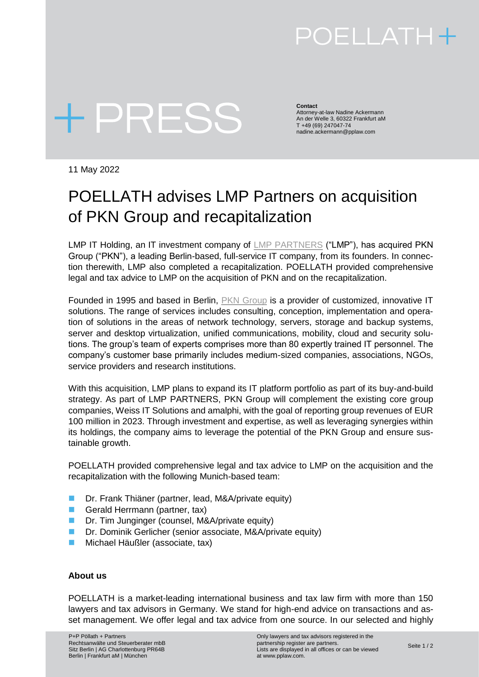# POELLATH+

# + PRESS

**Contact** Attorney-at-law Nadine Ackermann An der Welle 3, 60322 Frankfurt aM T +49 (69) 247047-74 nadine.ackermann@pplaw.com

11 May 2022

### POELLATH advises LMP Partners on acquisition of PKN Group and recapitalization

LMP IT Holding, an IT investment company of [LMP PARTNERS](https://lmp-partners.de/) ("LMP"), has acquired PKN Group ("PKN"), a leading Berlin-based, full-service IT company, from its founders. In connection therewith, LMP also completed a recapitalization. POELLATH provided comprehensive legal and tax advice to LMP on the acquisition of PKN and on the recapitalization.

Founded in 1995 and based in Berlin, [PKN Group](https://www.pkn.de/) is a provider of customized, innovative IT solutions. The range of services includes consulting, conception, implementation and operation of solutions in the areas of network technology, servers, storage and backup systems, server and desktop virtualization, unified communications, mobility, cloud and security solutions. The group's team of experts comprises more than 80 expertly trained IT personnel. The company's customer base primarily includes medium-sized companies, associations, NGOs, service providers and research institutions.

With this acquisition, LMP plans to expand its IT platform portfolio as part of its buy-and-build strategy. As part of LMP PARTNERS, PKN Group will complement the existing core group companies, Weiss IT Solutions and amalphi, with the goal of reporting group revenues of EUR 100 million in 2023. Through investment and expertise, as well as leveraging synergies within its holdings, the company aims to leverage the potential of the PKN Group and ensure sustainable growth.

POELLATH provided comprehensive legal and tax advice to LMP on the acquisition and the recapitalization with the following Munich-based team:

- Dr. Frank Thiäner (partner, lead, M&A/private equity)
- Gerald Herrmann (partner, tax)
- Dr. Tim Junginger (counsel, M&A/private equity)
- Dr. Dominik Gerlicher (senior associate, M&A/private equity)
- Michael Häußler (associate, tax)

#### **About us**

POELLATH is a market-leading international business and tax law firm with more than 150 lawyers and tax advisors in Germany. We stand for high-end advice on transactions and asset management. We offer legal and tax advice from one source. In our selected and highly